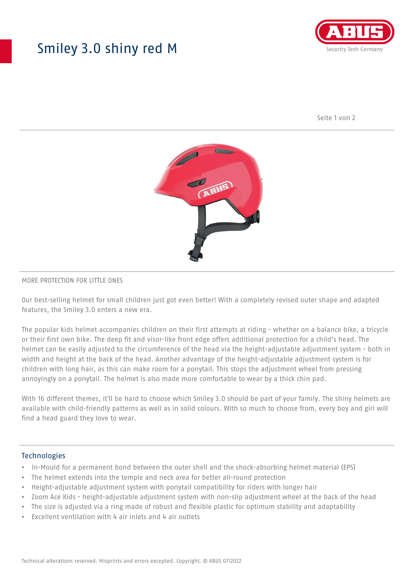## Smiley 3.0 shiny red M



Seite 1 von 2



#### MORE PROTECTION FOR LITTLE ONES

Our best-selling helmet for small children just got even better! With a completely revised outer shape and adapted features, the Smiley 3.0 enters a new era.

The popular kids helmet accompanies children on their first attempts at riding - whether on a balance bike, a tricycle or their first own bike. The deep fit and visor-like front edge offers additional protection for a child's head. The helmet can be easily adjusted to the circumference of the head via the height-adjustable adjustment system - both in width and height at the back of the head. Another advantage of the height-adjustable adjustment system is for children with long hair, as this can make room for a ponytail. This stops the adjustment wheel from pressing annoyingly on a ponytail. The helmet is also made more comfortable to wear by a thick chin pad.

With 16 different themes, it'll be hard to choose which Smiley 3.0 should be part of your family. The shiny helmets are available with child-friendly patterns as well as in solid colours. With so much to choose from, every boy and girl will find a head guard they love to wear.

#### Technologies

- In-Mould for a permanent bond between the outer shell and the shock-absorbing helmet material (EPS)
- The helmet extends into the temple and neck area for better all-round protection
- Height-adjustable adjustment system with ponytail compatibility for riders with longer hair
- Zoom Ace Kids height-adjustable adjustment system with non-slip adjustment wheel at the back of the head
- The size is adjusted via a ring made of robust and flexible plastic for optimum stability and adaptability
- Excellent ventilation with 4 air inlets and 4 air outlets